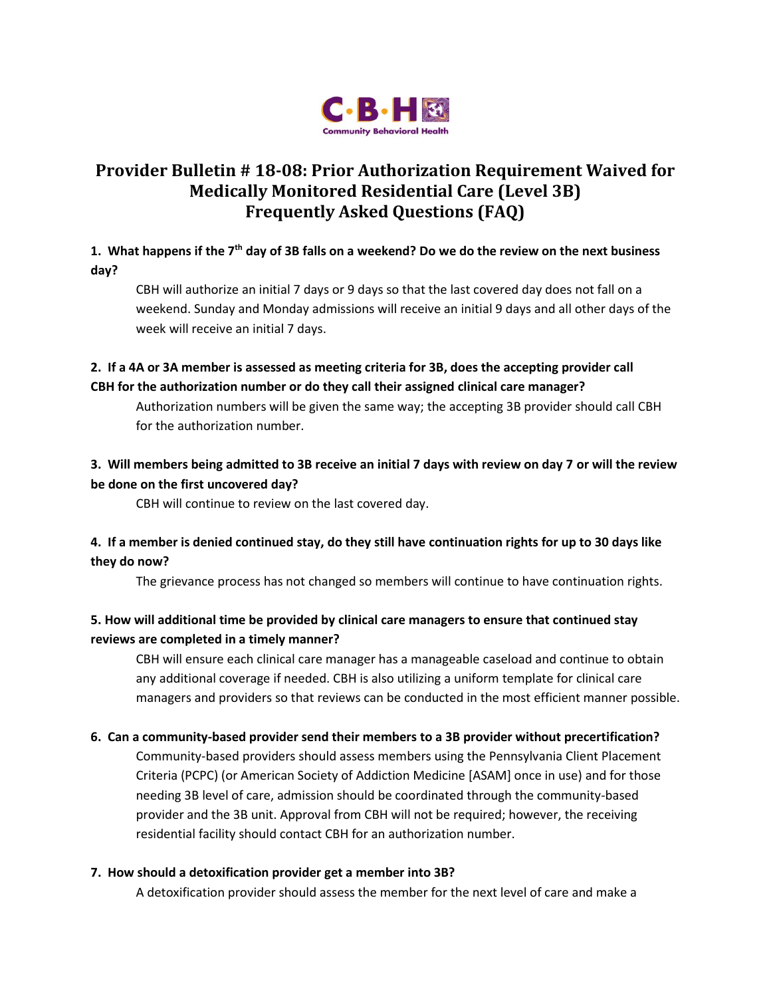

# **Provider Bulletin # 18-08: Prior Authorization Requirement Waived for Medically Monitored Residential Care (Level 3B) Frequently Asked Questions (FAQ)**

### **1. What happens if the 7th day of 3B falls on a weekend? Do we do the review on the next business day?**

CBH will authorize an initial 7 days or 9 days so that the last covered day does not fall on a weekend. Sunday and Monday admissions will receive an initial 9 days and all other days of the week will receive an initial 7 days.

### **2. If a 4A or 3A member is assessed as meeting criteria for 3B, does the accepting provider call CBH for the authorization number or do they call their assigned clinical care manager?**

Authorization numbers will be given the same way; the accepting 3B provider should call CBH for the authorization number.

## **3. Will members being admitted to 3B receive an initial 7 days with review on day 7 or will the review be done on the first uncovered day?**

CBH will continue to review on the last covered day.

### **4. If a member is denied continued stay, do they still have continuation rights for up to 30 days like they do now?**

The grievance process has not changed so members will continue to have continuation rights.

## **5. How will additional time be provided by clinical care managers to ensure that continued stay reviews are completed in a timely manner?**

CBH will ensure each clinical care manager has a manageable caseload and continue to obtain any additional coverage if needed. CBH is also utilizing a uniform template for clinical care managers and providers so that reviews can be conducted in the most efficient manner possible.

### **6. Can a community-based provider send their members to a 3B provider without precertification?**

Community-based providers should assess members using the Pennsylvania Client Placement Criteria (PCPC) (or American Society of Addiction Medicine [ASAM] once in use) and for those needing 3B level of care, admission should be coordinated through the community-based provider and the 3B unit. Approval from CBH will not be required; however, the receiving residential facility should contact CBH for an authorization number.

### **7. How should a detoxification provider get a member into 3B?**

A detoxification provider should assess the member for the next level of care and make a